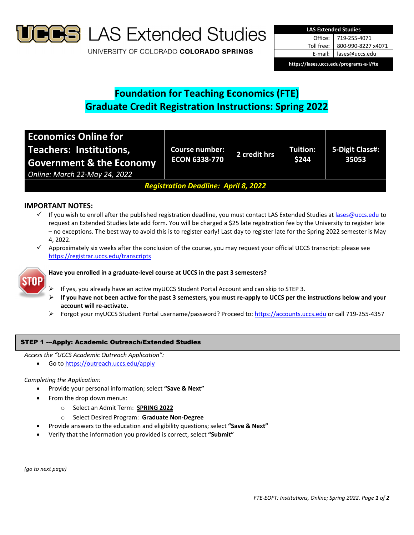

**S** LAS Extended Studies

UNIVERSITY OF COLORADO COLORADO SPRINGS

| <b>LAS Extended Studies</b>             |                    |  |  |  |
|-----------------------------------------|--------------------|--|--|--|
| Office:                                 | 719-255-4071       |  |  |  |
| Toll free:                              | 800-990-8227 x4071 |  |  |  |
| E-mail: I                               | lases@uccs.edu     |  |  |  |
| https://lases.uccs.edu/programs-a-l/fte |                    |  |  |  |

# **Foundation for Teaching Economics (FTE) Graduate Credit Registration Instructions: Spring 2022**

| <b>Economics Online for</b><br>Teachers: Institutions,<br><b>Government &amp; the Economy</b><br>Online: March 22-May 24, 2022 | <b>Course number:</b><br><b>ECON 6338-770</b> | 2 credit hrs | Tuition:<br>\$244 | 5-Digit Class#:<br>35053 |
|--------------------------------------------------------------------------------------------------------------------------------|-----------------------------------------------|--------------|-------------------|--------------------------|
| <b>Registration Deadline: April 8, 2022</b>                                                                                    |                                               |              |                   |                          |

## **IMPORTANT NOTES:**

- √ If you wish to enroll after the published registration deadline, you must contact LAS Extended Studies at lases@uccs.edu to request an Extended Studies late add form. You will be charged a \$25 late registration fee by the University to register late – no exceptions. The best way to avoid this is to register early! Last day to register late for the Spring 2022 semester is May 4, 2022.
- Approximately six weeks after the conclusion of the course, you may request your official UCCS transcript: please see https://registrar.uccs.edu/transcripts



## **Have you enrolled in a graduate‐level course at UCCS in the past 3 semesters?**

- If yes, you already have an active myUCCS Student Portal Account and can skip to STEP 3.
- If you have not been active for the past 3 semesters, you must re-apply to UCCS per the instructions below and your **account will re‐activate.**
- Forgot your myUCCS Student Portal username/password? Proceed to: https://accounts.uccs.edu or call 719-255-4357

## STEP 1 ---Apply: Academic Outreach/Extended Studies

- *Access the "UCCS Academic Outreach Application":*
	- Go to https://outreach.uccs.edu/apply

#### *Completing the Application:*

- Provide your personal information; select **"Save & Next"**
	- From the drop down menus:
		- o Select an Admit Term: **SPRING 2022**
		- o Select Desired Program: **Graduate Non‐Degree**
- Provide answers to the education and eligibility questions; select **"Save & Next"**
- Verify that the information you provided is correct, select **"Submit"**

*(go to next page)*